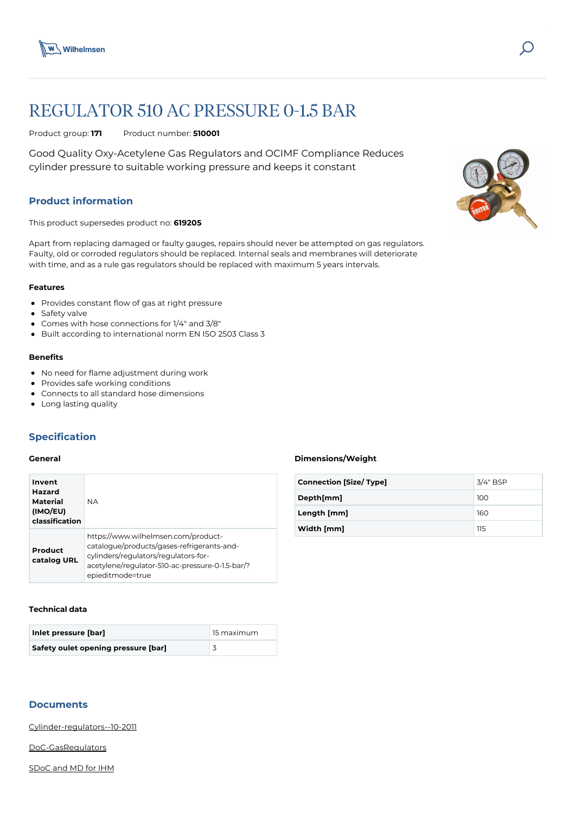

# REGULATOR 510 AC PRESSURE 0-1.5 BAR

Product group: **171** Product number: **510001**

Good Quality Oxy-Acetylene Gas Regulators and OCIMF Compliance Reduces cylinder pressure to suitable working pressure and keeps it constant

# **Product information**

This product supersedes product no: **619205**

Apart from replacing damaged or faulty gauges, repairs should never be attempted on gas regulators. Faulty, old or corroded regulators should be replaced. Internal seals and membranes will deteriorate with time, and as a rule gas regulators should be replaced with maximum 5 years intervals.

#### **Features**

- Provides constant flow of gas at right pressure
- Safety valve
- Comes with hose connections for 1/4" and 3/8"
- Built according to international norm EN ISO 2503 Class 3

#### **Benefits**

- No need for flame adjustment during work
- Provides safe working conditions
- Connects to all standard hose dimensions
- Long lasting quality

## **Specification**

# **General**

| Invent<br><b>Hazard</b><br><b>Material</b><br>(IMO/EU)<br>classification | <b>NA</b>                                                                                                                                                                                        |
|--------------------------------------------------------------------------|--------------------------------------------------------------------------------------------------------------------------------------------------------------------------------------------------|
| Product<br>catalog URL                                                   | https://www.wilhelmsen.com/product-<br>catalogue/products/gases-refrigerants-and-<br>cylinders/regulators/regulators-for-<br>acetylene/regulator-510-ac-pressure-0-1.5-bar/?<br>epieditmode=true |

#### **Technical data**

| Inlet pressure [bar]                | 15 maximum |
|-------------------------------------|------------|
| Safety oulet opening pressure [bar] |            |

# **Documents**

[Cylinder-regulators--10-2011](https://media.bluestonepim.com/e4deb258-8122-4fdf-9d12-b42f3e0e812d/6b427509-cfe6-4311-ad1a-aa5652ff3d41/veZC2MiqU2tvx5RqlHCBtAAug/QWbPVpCsASUNMsEmEsU1cyOzD.pdf)

[DoC-GasRegulators](https://media.bluestonepim.com/e4deb258-8122-4fdf-9d12-b42f3e0e812d/5abbf839-4a03-4e7d-9afc-8ddd9982c6d6/11zQFEJCGb776YwxLIhe4JQGt/Mz61O7PC9FfraIYYTRQIwnLXk.pdf)

[SDoC and MD for IHM](https://media.bluestonepim.com/e4deb258-8122-4fdf-9d12-b42f3e0e812d/a8b4270c-8ab7-4c8d-b24e-e648224f40d7/89myvPyswBiUGIp9C12IhjJ3u/DIfAvKva6jwPhDLKnyH17cDoR.pdf)

# **Dimensions/Weight**

| <b>Connection [Size/ Type]</b> | 3/4" BSP |
|--------------------------------|----------|
| Depth[mm]                      | 100      |
| Length [mm]                    | 160      |
| Width [mm]                     | 115      |